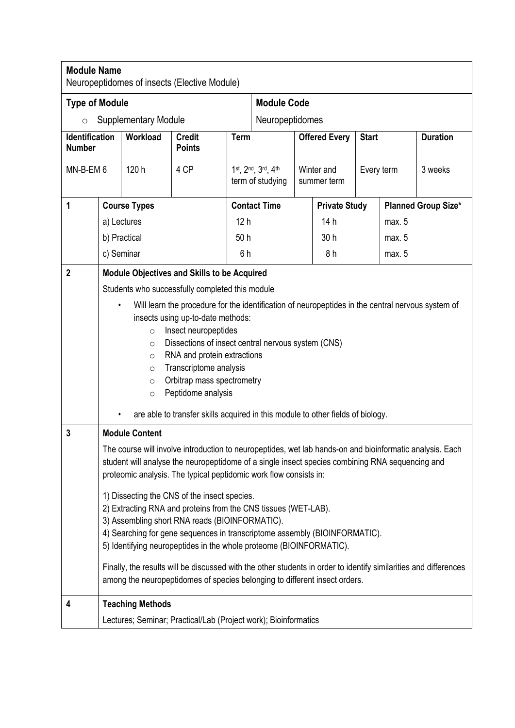| <b>Module Name</b><br>Neuropeptidomes of insects (Elective Module) |                                                                                                                                                                                                                                                                                                                       |                                                                 |                                |                                        |                    |                           |                      |              |                            |                 |  |
|--------------------------------------------------------------------|-----------------------------------------------------------------------------------------------------------------------------------------------------------------------------------------------------------------------------------------------------------------------------------------------------------------------|-----------------------------------------------------------------|--------------------------------|----------------------------------------|--------------------|---------------------------|----------------------|--------------|----------------------------|-----------------|--|
| <b>Type of Module</b>                                              |                                                                                                                                                                                                                                                                                                                       |                                                                 |                                |                                        | <b>Module Code</b> |                           |                      |              |                            |                 |  |
| <b>Supplementary Module</b><br>$\circ$                             |                                                                                                                                                                                                                                                                                                                       |                                                                 |                                |                                        | Neuropeptidomes    |                           |                      |              |                            |                 |  |
| <b>Identification</b><br><b>Number</b>                             |                                                                                                                                                                                                                                                                                                                       | Workload                                                        | <b>Credit</b><br><b>Points</b> | <b>Term</b>                            |                    | <b>Offered Every</b>      |                      | <b>Start</b> |                            | <b>Duration</b> |  |
| MN-B-EM 6                                                          |                                                                                                                                                                                                                                                                                                                       | 120 h                                                           | 4 CP                           | 1st, 2nd, 3rd, 4th<br>term of studying |                    | Winter and<br>summer term |                      | Every term   |                            | 3 weeks         |  |
| 1                                                                  |                                                                                                                                                                                                                                                                                                                       | <b>Course Types</b>                                             |                                | <b>Contact Time</b>                    |                    |                           | <b>Private Study</b> |              | <b>Planned Group Size*</b> |                 |  |
|                                                                    | a) Lectures                                                                                                                                                                                                                                                                                                           |                                                                 |                                | 12 <sub>h</sub>                        |                    |                           | 14h                  |              | max. 5                     |                 |  |
|                                                                    | b) Practical                                                                                                                                                                                                                                                                                                          |                                                                 |                                | 50h                                    |                    |                           | 30 h                 |              | max. 5                     |                 |  |
|                                                                    | c) Seminar                                                                                                                                                                                                                                                                                                            |                                                                 | 6h                             |                                        |                    |                           | 8h                   |              | max. 5                     |                 |  |
| $\mathbf 2$                                                        | <b>Module Objectives and Skills to be Acquired</b>                                                                                                                                                                                                                                                                    |                                                                 |                                |                                        |                    |                           |                      |              |                            |                 |  |
|                                                                    | Students who successfully completed this module                                                                                                                                                                                                                                                                       |                                                                 |                                |                                        |                    |                           |                      |              |                            |                 |  |
|                                                                    | Will learn the procedure for the identification of neuropeptides in the central nervous system of                                                                                                                                                                                                                     |                                                                 |                                |                                        |                    |                           |                      |              |                            |                 |  |
|                                                                    | insects using up-to-date methods:<br>Insect neuropeptides<br>$\circ$                                                                                                                                                                                                                                                  |                                                                 |                                |                                        |                    |                           |                      |              |                            |                 |  |
|                                                                    | Dissections of insect central nervous system (CNS)<br>$\circ$                                                                                                                                                                                                                                                         |                                                                 |                                |                                        |                    |                           |                      |              |                            |                 |  |
|                                                                    | RNA and protein extractions<br>$\circ$                                                                                                                                                                                                                                                                                |                                                                 |                                |                                        |                    |                           |                      |              |                            |                 |  |
|                                                                    | Transcriptome analysis<br>$\circ$<br>Orbitrap mass spectrometry                                                                                                                                                                                                                                                       |                                                                 |                                |                                        |                    |                           |                      |              |                            |                 |  |
|                                                                    | $\circ$<br>Peptidome analysis<br>$\circ$                                                                                                                                                                                                                                                                              |                                                                 |                                |                                        |                    |                           |                      |              |                            |                 |  |
|                                                                    | are able to transfer skills acquired in this module to other fields of biology.                                                                                                                                                                                                                                       |                                                                 |                                |                                        |                    |                           |                      |              |                            |                 |  |
| 3                                                                  | <b>Module Content</b>                                                                                                                                                                                                                                                                                                 |                                                                 |                                |                                        |                    |                           |                      |              |                            |                 |  |
|                                                                    | The course will involve introduction to neuropeptides, wet lab hands-on and bioinformatic analysis. Each<br>student will analyse the neuropeptidome of a single insect species combining RNA sequencing and<br>proteomic analysis. The typical peptidomic work flow consists in:                                      |                                                                 |                                |                                        |                    |                           |                      |              |                            |                 |  |
|                                                                    | 1) Dissecting the CNS of the insect species.<br>2) Extracting RNA and proteins from the CNS tissues (WET-LAB).<br>3) Assembling short RNA reads (BIOINFORMATIC).<br>4) Searching for gene sequences in transcriptome assembly (BIOINFORMATIC).<br>5) Identifying neuropeptides in the whole proteome (BIOINFORMATIC). |                                                                 |                                |                                        |                    |                           |                      |              |                            |                 |  |
|                                                                    | Finally, the results will be discussed with the other students in order to identify similarities and differences<br>among the neuropeptidomes of species belonging to different insect orders.                                                                                                                        |                                                                 |                                |                                        |                    |                           |                      |              |                            |                 |  |
| 4                                                                  | <b>Teaching Methods</b>                                                                                                                                                                                                                                                                                               |                                                                 |                                |                                        |                    |                           |                      |              |                            |                 |  |
|                                                                    |                                                                                                                                                                                                                                                                                                                       | Lectures; Seminar; Practical/Lab (Project work); Bioinformatics |                                |                                        |                    |                           |                      |              |                            |                 |  |